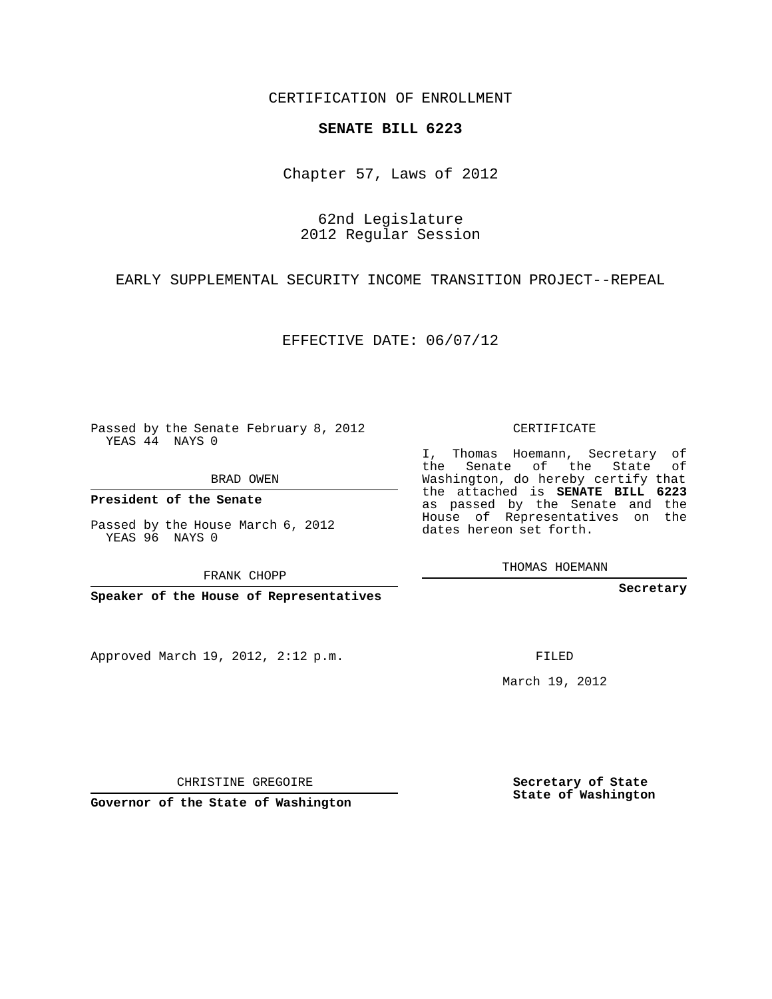CERTIFICATION OF ENROLLMENT

## **SENATE BILL 6223**

Chapter 57, Laws of 2012

62nd Legislature 2012 Regular Session

EARLY SUPPLEMENTAL SECURITY INCOME TRANSITION PROJECT--REPEAL

EFFECTIVE DATE: 06/07/12

Passed by the Senate February 8, 2012 YEAS 44 NAYS 0

BRAD OWEN

**President of the Senate**

YEAS 96 NAYS 0

Approved March 19, 2012, 2:12 p.m.

CERTIFICATE

I, Thomas Hoemann, Secretary of the Senate of the State of Washington, do hereby certify that the attached is **SENATE BILL 6223** as passed by the Senate and the House of Representatives on the dates hereon set forth.

THOMAS HOEMANN

**Secretary**

FILED

March 19, 2012

**Secretary of State State of Washington**

CHRISTINE GREGOIRE

**Governor of the State of Washington**

Passed by the House March 6, 2012

FRANK CHOPP

**Speaker of the House of Representatives**